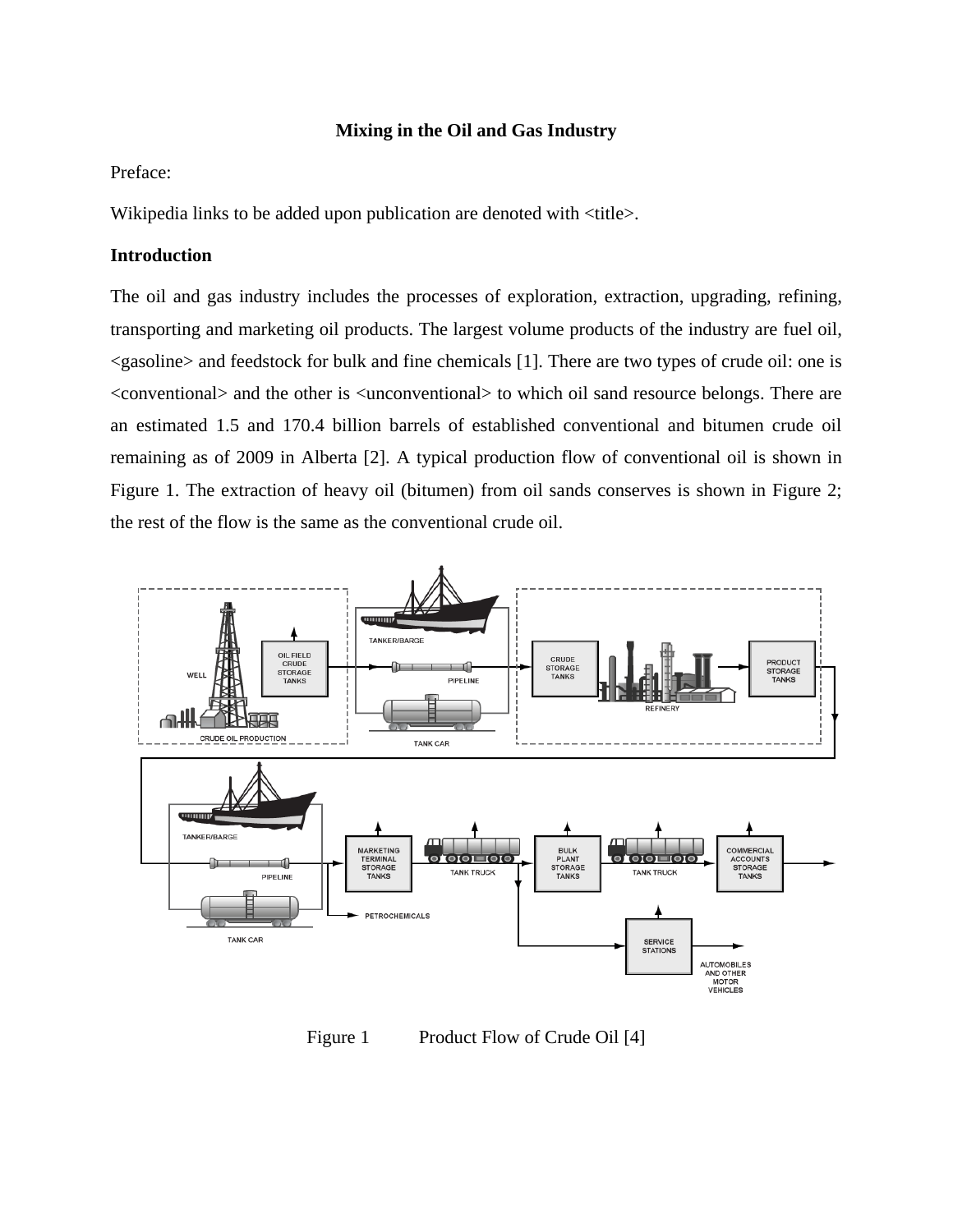## **Mixing in the Oil and Gas Industry**

# Preface:

Wikipedia links to be added upon publication are denoted with <title>.

#### **Introduction**

The oil and gas industry includes the processes of [exploration,](http://en.wikipedia.org/wiki/Hydrocarbon_exploration) [extraction,](http://en.wikipedia.org/wiki/Extraction_of_petroleum) upgrading, [refining,](http://en.wikipedia.org/wiki/Oil_refinery) transporting and marketing [oil](http://en.wikipedia.org/wiki/Petroleum) [products.](http://en.wikipedia.org/wiki/List_of_crude_oil_products) The largest volume products of the industry are [fuel oil,](http://en.wikipedia.org/wiki/Fuel_oil) <gasoline> and feedstock for bulk and fine chemicals [1]. There are two types of crude oil: one is <conventional> and the other is <unconventional> to which oil sand resource belongs. There are an estimated 1.5 and 170.4 billion barrels of established conventional and bitumen crude oil remaining as of 2009 in Alberta [2]. A typical production flow of conventional oil is shown in Figure 1. The extraction of heavy oil (bitumen) from oil sands conserves is shown in Figure 2; the rest of the flow is the same as the conventional crude oil.



Figure 1 Product Flow of Crude Oil [4]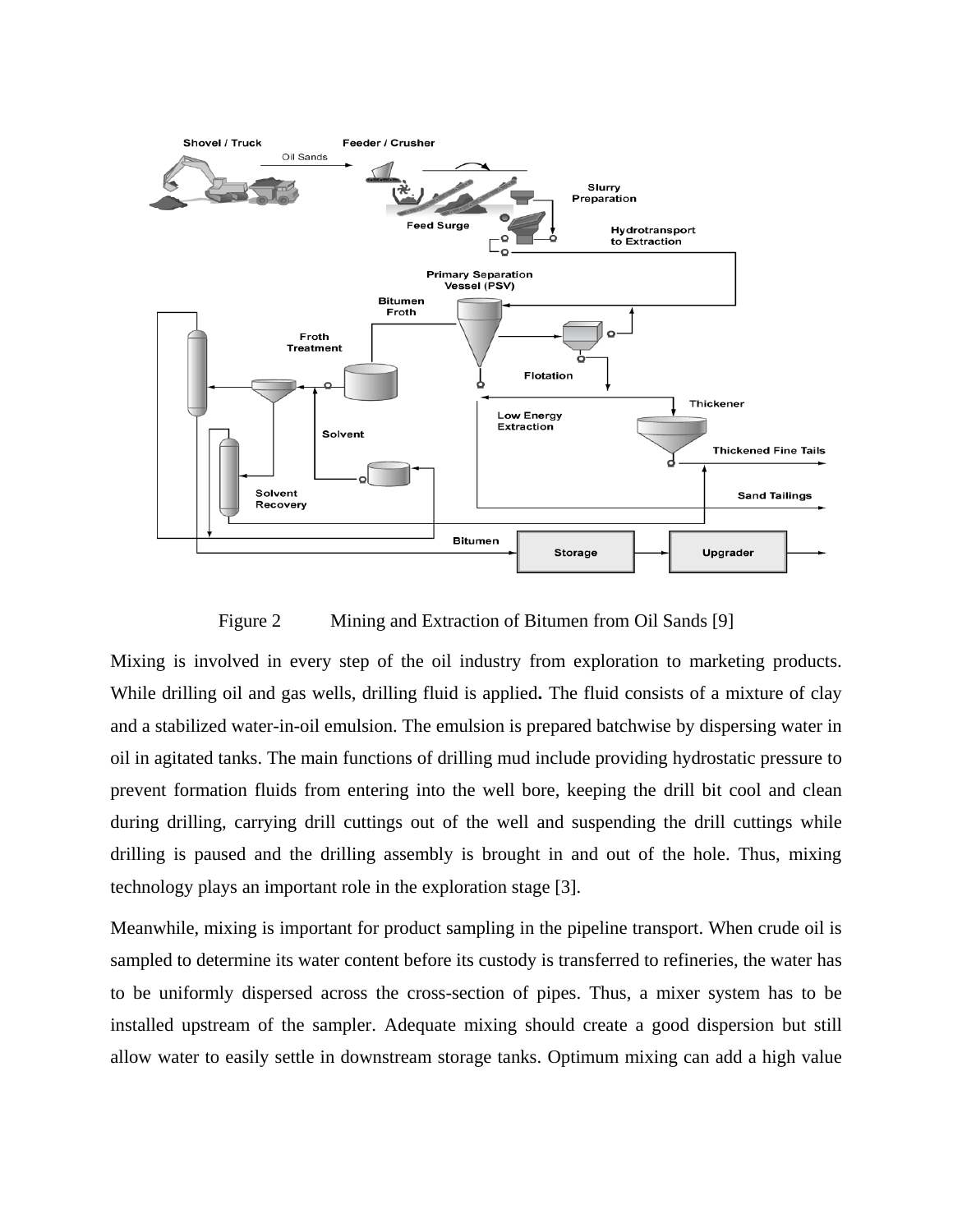

Figure 2 Mining and Extraction of Bitumen from Oil Sands [9]

Mixing is involved in every step of the oil industry from exploration to marketing products. While drilling [oil](http://en.wikipedia.org/wiki/Oil_well) and gas wells, drilling fluid is applied**.** The fluid consists of a mixture of clay and a stabilized water-in-oil emulsion. The emulsion is prepared batchwise by dispersing water in oil in agitated tanks. The main functions of drilling mud include providing [hydrostatic pressure](http://en.wikipedia.org/wiki/Hydrostatic_pressure) to prevent formation fluids from entering into the well bore, keeping the [drill bit](http://en.wikipedia.org/wiki/Well_drilling) cool and clean during drilling, carrying drill cuttings out of the well and suspending the drill cuttings while drilling is paused and the drilling assembly is brought in and out of the hole. Thus, mixing technology plays an important role in the exploration stage [3].

Meanwhile, mixing is important for product sampling in the pipeline transport. When crude oil is sampled to determine its water content before its custody is transferred to refineries, the water has to be uniformly dispersed across the cross-section of pipes. Thus, a mixer system has to be installed upstream of the sampler. Adequate mixing should create a good dispersion but still allow water to easily settle in downstream storage tanks. Optimum mixing can add a high value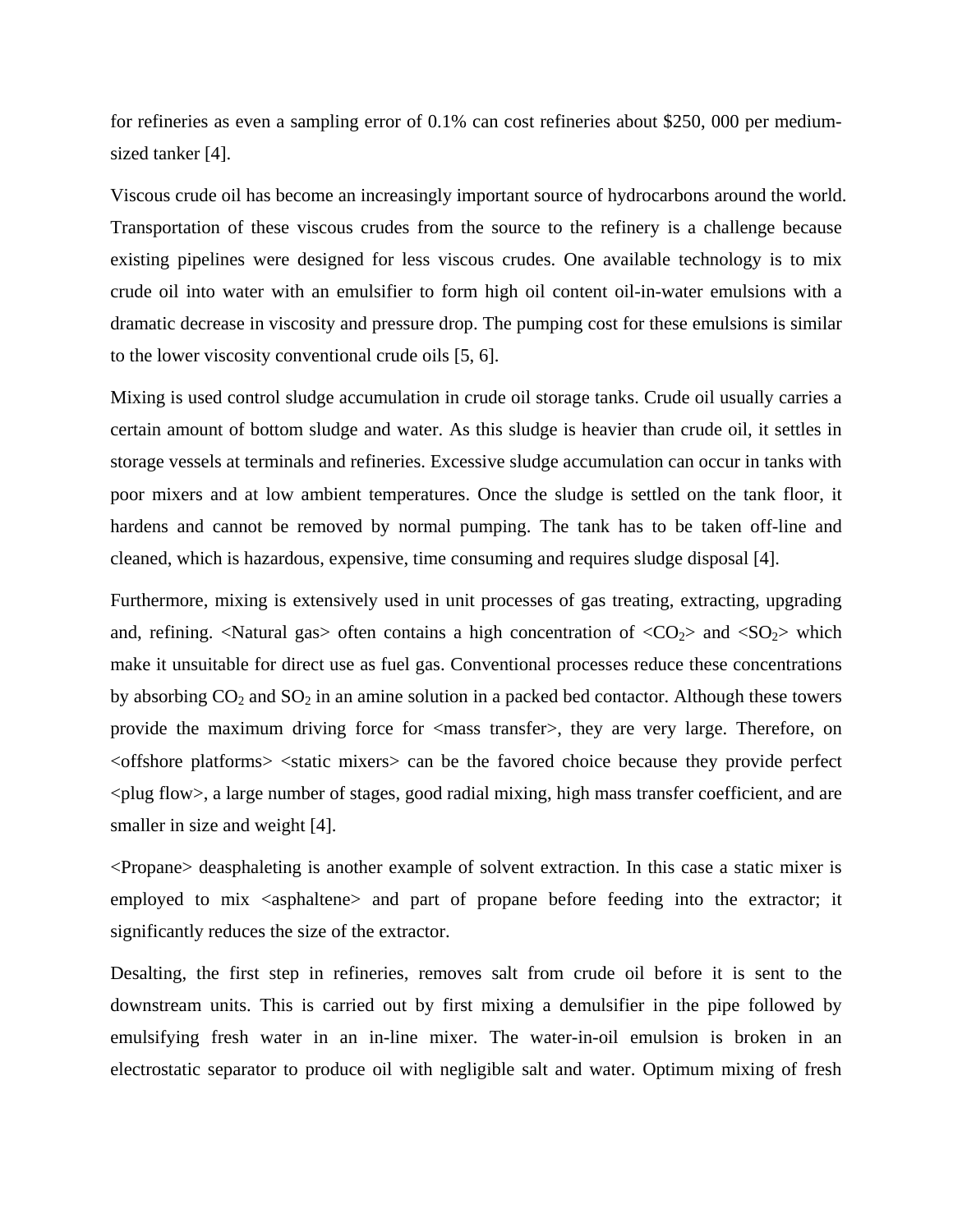for refineries as even a sampling error of 0.1% can cost refineries about \$250, 000 per mediumsized tanker [4].

Viscous crude oil has become an increasingly important source of hydrocarbons around the world. Transportation of these viscous crudes from the source to the refinery is a challenge because existing pipelines were designed for less viscous crudes. One available technology is to mix crude oil into water with an emulsifier to form high oil content oil-in-water emulsions with a dramatic decrease in viscosity and pressure drop. The pumping cost for these emulsions is similar to the lower viscosity conventional crude oils [5, 6].

Mixing is used control sludge accumulation in crude oil storage tanks. Crude oil usually carries a certain amount of bottom sludge and water. As this sludge is heavier than crude oil, it settles in storage vessels at terminals and refineries. Excessive sludge accumulation can occur in tanks with poor mixers and at low ambient temperatures. Once the sludge is settled on the tank floor, it hardens and cannot be removed by normal pumping. The tank has to be taken off-line and cleaned, which is hazardous, expensive, time consuming and requires sludge disposal [4].

Furthermore, mixing is extensively used in unit processes of gas treating, extracting, upgrading and, refining.  $\langle$ Natural gas $>$  often contains a high concentration of  $\langle CO_2 \rangle$  and  $\langle SO_2 \rangle$  which make it unsuitable for direct use as fuel gas. Conventional processes reduce these concentrations by absorbing  $CO_2$  and  $SO_2$  in an amine solution in a packed bed contactor. Although these towers provide the maximum driving force for <mass transfer>, they are very large. Therefore, on <offshore platforms> <static mixers> can be the favored choice because they provide perfect  $\langle$ plug flow $\rangle$ , a large number of stages, good radial mixing, high mass transfer coefficient, and are smaller in size and weight [4].

<Propane> deasphaleting is another example of solvent extraction. In this case a static mixer is employed to mix <asphaltene> and part of propane before feeding into the extractor; it significantly reduces the size of the extractor.

Desalting, the first step in refineries, removes salt from crude oil before it is sent to the downstream units. This is carried out by first mixing a demulsifier in the pipe followed by emulsifying fresh water in an in-line mixer. The water-in-oil emulsion is broken in an electrostatic separator to produce oil with negligible salt and water. Optimum mixing of fresh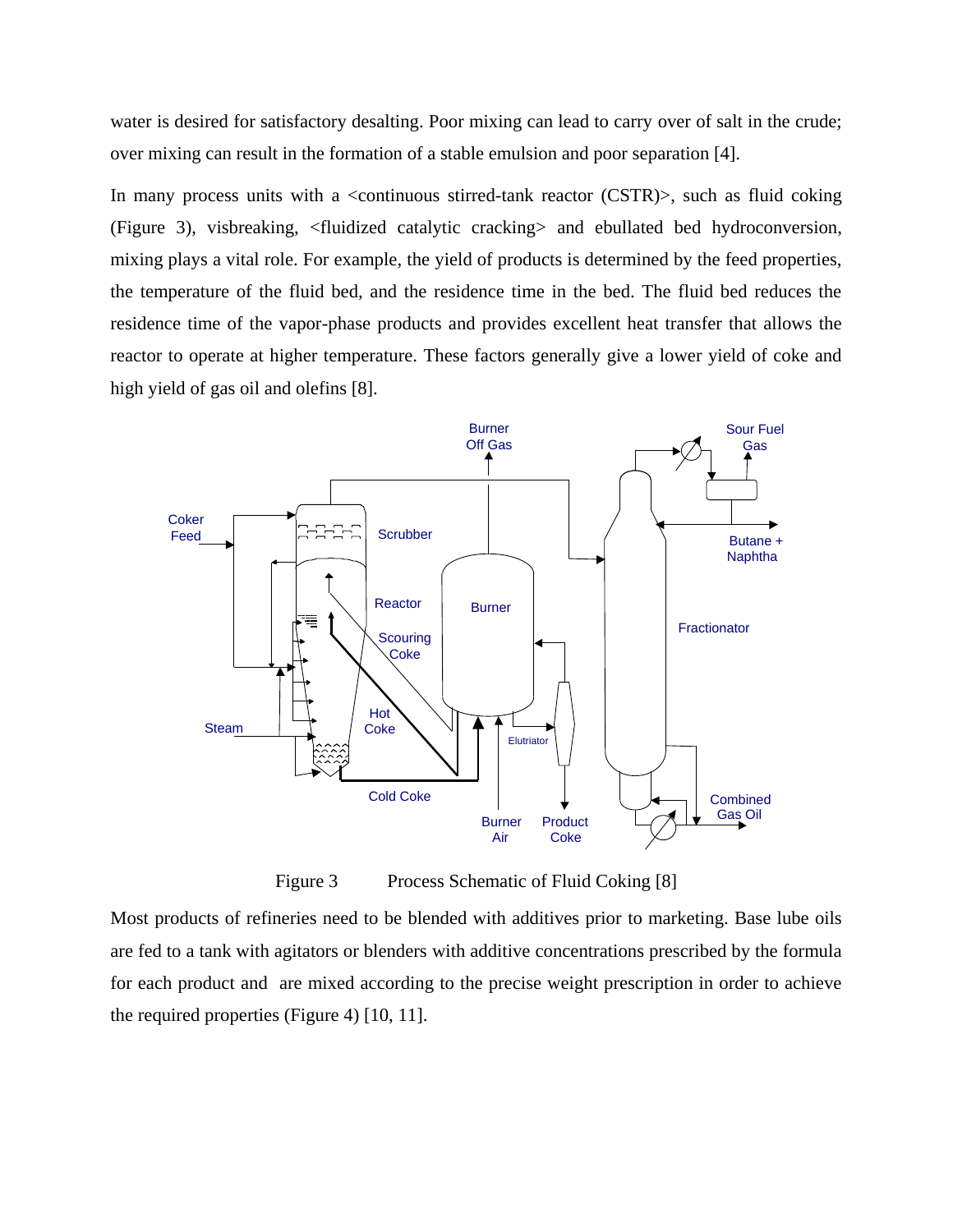water is desired for satisfactory desalting. Poor mixing can lead to carry over of salt in the crude; over mixing can result in the formation of a stable emulsion and poor separation [4].

In many process units with a <continuous stirred-tank reactor (CSTR)>, such as fluid coking (Figure 3), visbreaking, <fluidized catalytic cracking> and ebullated bed hydroconversion, mixing plays a vital role. For example, the yield of products is determined by the feed properties, the temperature of the fluid bed, and the residence time in the bed. The fluid bed reduces the residence time of the vapor-phase products and provides excellent heat transfer that allows the reactor to operate at higher temperature. These factors generally give a lower yield of coke and high yield of gas oil and olefins [8].



Figure 3 Process Schematic of Fluid Coking [8]

Most products of refineries need to be blended with additives prior to marketing. Base lube oils are fed to a tank with agitators or blenders with additive concentrations prescribed by the formula for each product and are mixed according to the precise weight prescription in order to achieve the required properties (Figure 4) [10, 11].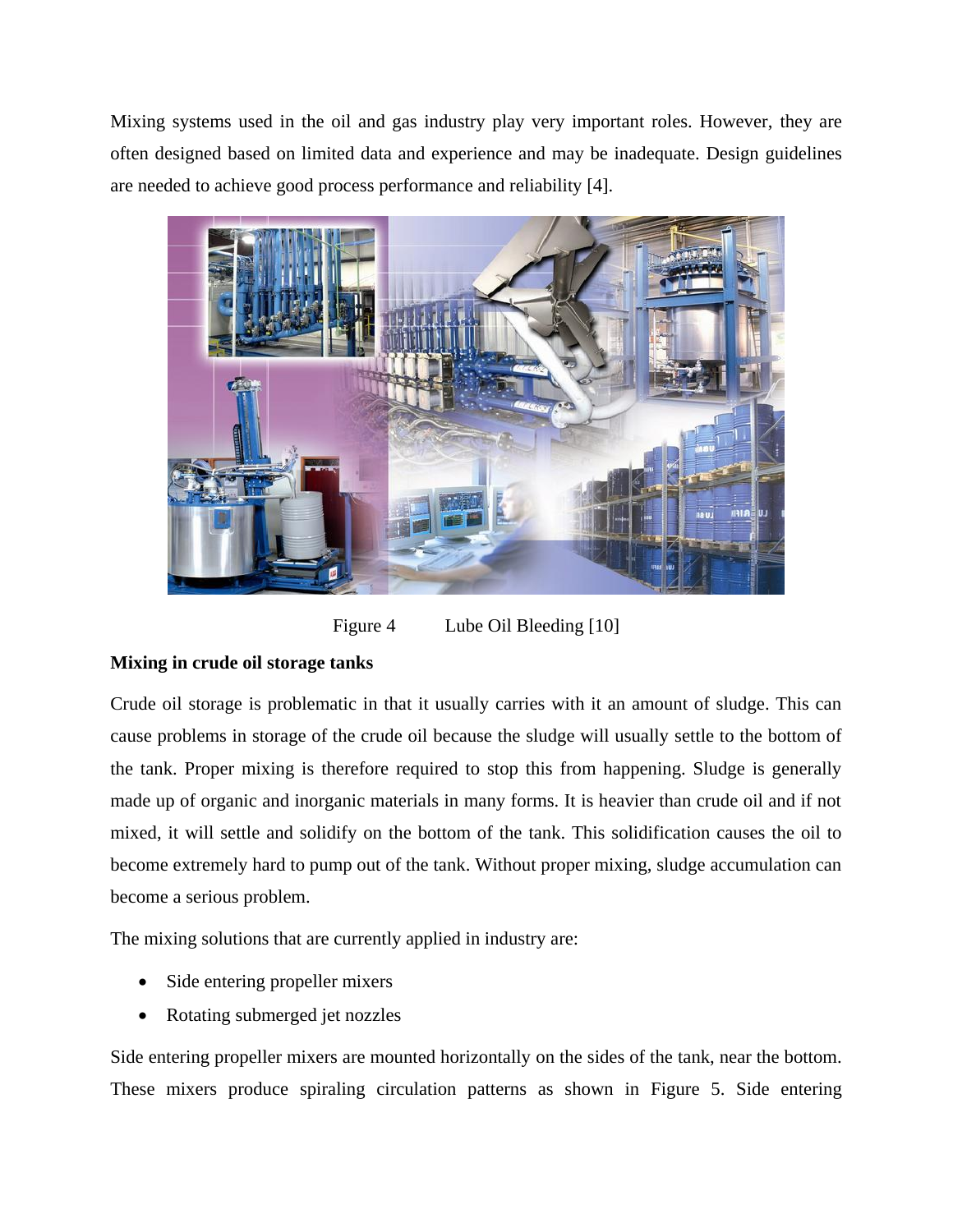Mixing systems used in the oil and gas industry play very important roles. However, they are often designed based on limited data and experience and may be inadequate. Design guidelines are needed to achieve good process performance and reliability [4].



Figure 4 Lube Oil Bleeding [10]

# **Mixing in crude oil storage tanks**

Crude oil storage is problematic in that it usually carries with it an amount of sludge. This can cause problems in storage of the crude oil because the sludge will usually settle to the bottom of the tank. Proper mixing is therefore required to stop this from happening. Sludge is generally made up of organic and inorganic materials in many forms. It is heavier than crude oil and if not mixed, it will settle and solidify on the bottom of the tank. This solidification causes the oil to become extremely hard to pump out of the tank. Without proper mixing, sludge accumulation can become a serious problem.

The mixing solutions that are currently applied in industry are:

- Side entering propeller mixers
- Rotating submerged jet nozzles

Side entering propeller mixers are mounted horizontally on the sides of the tank, near the bottom. These mixers produce spiraling circulation patterns as shown in Figure 5. Side entering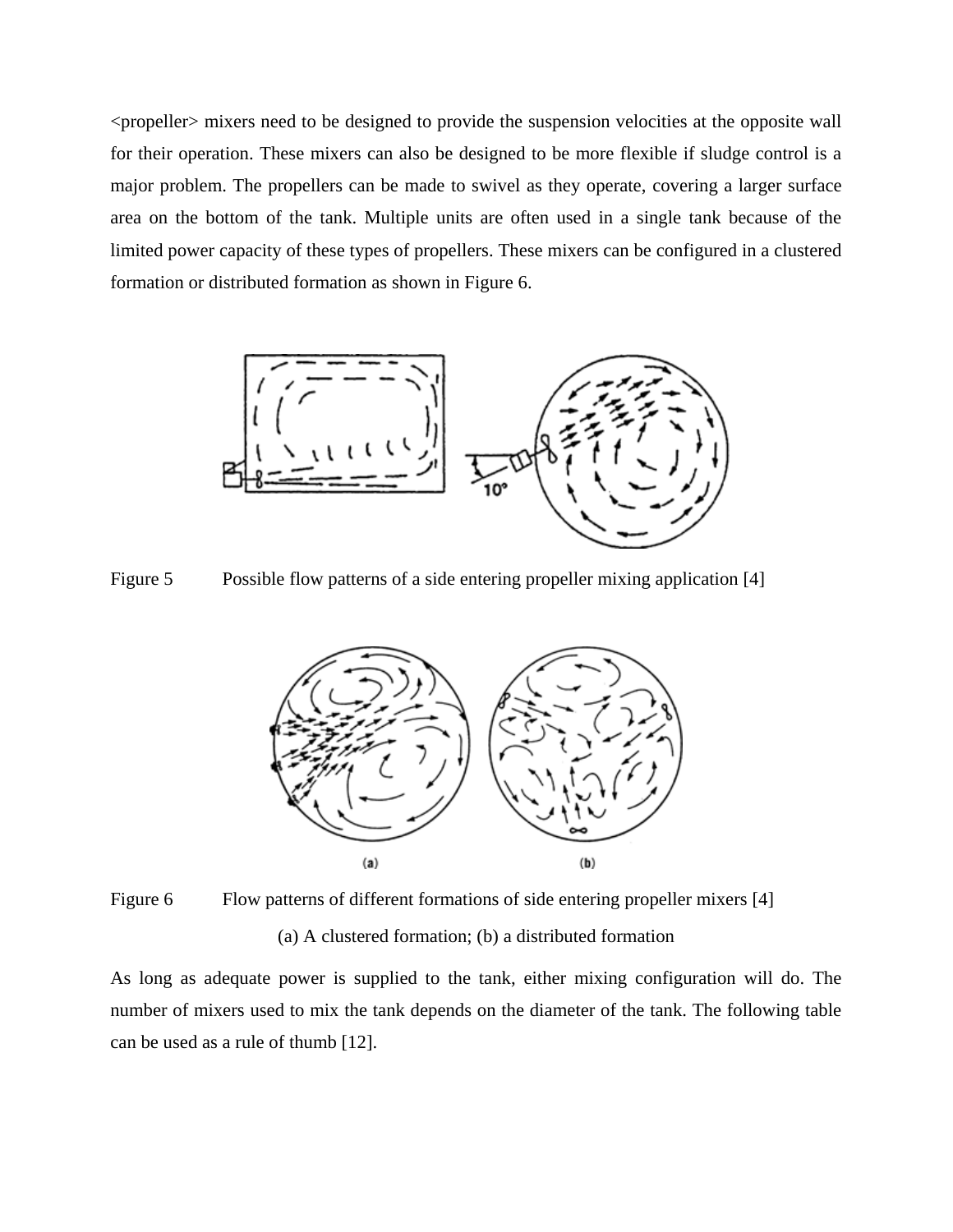<propeller> mixers need to be designed to provide the suspension velocities at the opposite wall for their operation. These mixers can also be designed to be more flexible if sludge control is a major problem. The propellers can be made to swivel as they operate, covering a larger surface area on the bottom of the tank. Multiple units are often used in a single tank because of the limited power capacity of these types of propellers. These mixers can be configured in a clustered formation or distributed formation as shown in Figure 6.



Figure 5 Possible flow patterns of a side entering propeller mixing application [4]



Figure 6 Flow patterns of different formations of side entering propeller mixers [4] (a) A clustered formation; (b) a distributed formation

As long as adequate power is supplied to the tank, either mixing configuration will do. The number of mixers used to mix the tank depends on the diameter of the tank. The following table can be used as a rule of thumb [12].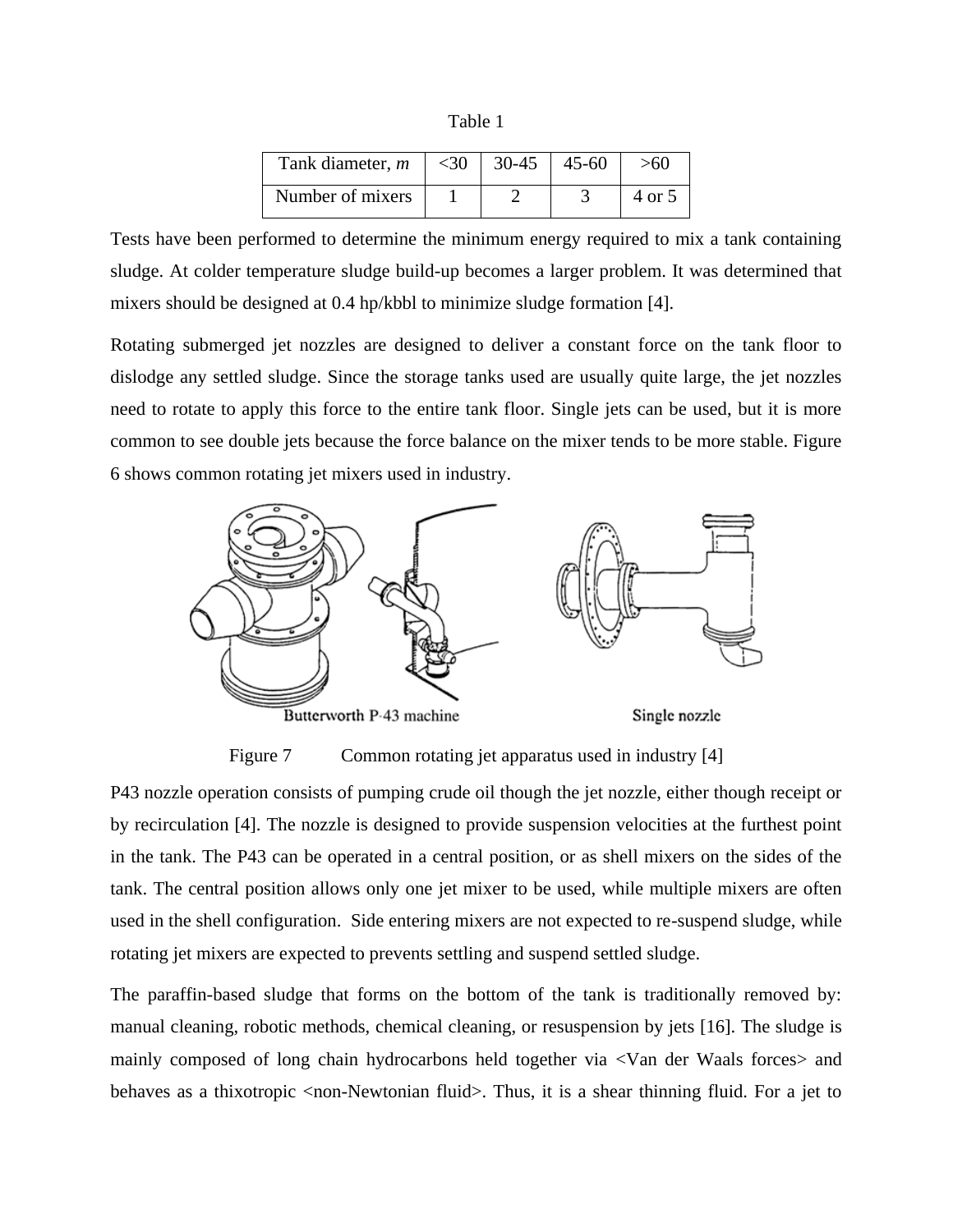Table 1

| Tank diameter, m | $<$ 30 | 30-45 | $45 - 60$ | >60    |
|------------------|--------|-------|-----------|--------|
| Number of mixers |        |       |           | 4 or 5 |

Tests have been performed to determine the minimum energy required to mix a tank containing sludge. At colder temperature sludge build-up becomes a larger problem. It was determined that mixers should be designed at 0.4 hp/kbbl to minimize sludge formation [4].

Rotating submerged jet nozzles are designed to deliver a constant force on the tank floor to dislodge any settled sludge. Since the storage tanks used are usually quite large, the jet nozzles need to rotate to apply this force to the entire tank floor. Single jets can be used, but it is more common to see double jets because the force balance on the mixer tends to be more stable. Figure 6 shows common rotating jet mixers used in industry.



Figure 7 Common rotating jet apparatus used in industry [4]

P43 nozzle operation consists of pumping crude oil though the jet nozzle, either though receipt or by recirculation [4]. The nozzle is designed to provide suspension velocities at the furthest point in the tank. The P43 can be operated in a central position, or as shell mixers on the sides of the tank. The central position allows only one jet mixer to be used, while multiple mixers are often used in the shell configuration. Side entering mixers are not expected to re-suspend sludge, while rotating jet mixers are expected to prevents settling and suspend settled sludge.

The paraffin-based sludge that forms on the bottom of the tank is traditionally removed by: manual cleaning, robotic methods, chemical cleaning, or resuspension by jets [16]. The sludge is mainly composed of long chain hydrocarbons held together via <Van der Waals forces> and behaves as a thixotropic  $\leq$  non-Newtonian fluid $\geq$ . Thus, it is a shear thinning fluid. For a jet to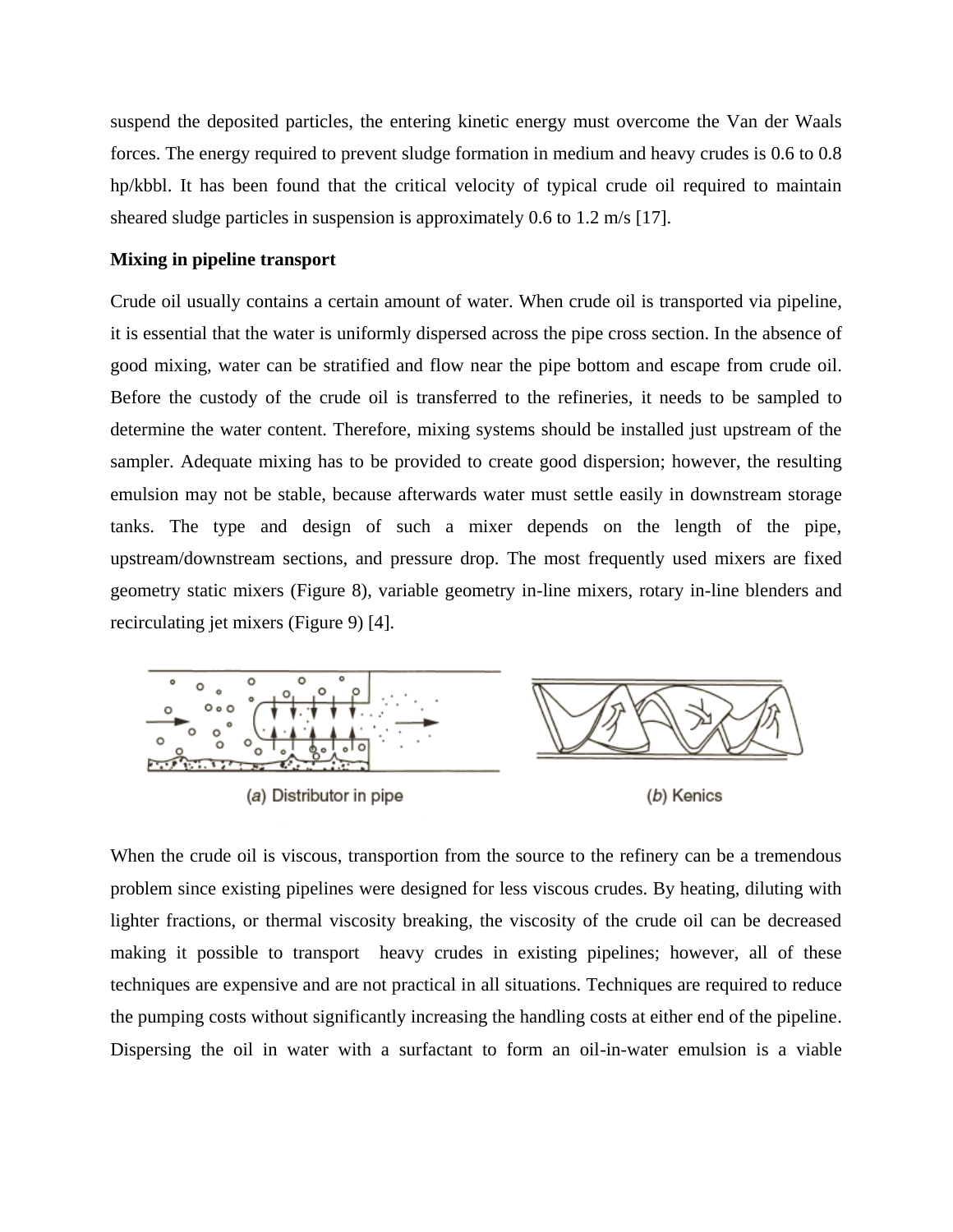suspend the deposited particles, the entering kinetic energy must overcome the Van der Waals forces. The energy required to prevent sludge formation in medium and heavy crudes is 0.6 to 0.8 hp/kbbl. It has been found that the critical velocity of typical crude oil required to maintain sheared sludge particles in suspension is approximately 0.6 to 1.2 m/s [17].

### **Mixing in pipeline transport**

Crude oil usually contains a certain amount of water. When crude oil is transported via pipeline, it is essential that the water is uniformly dispersed across the pipe cross section. In the absence of good mixing, water can be stratified and flow near the pipe bottom and escape from crude oil. Before the custody of the crude oil is transferred to the refineries, it needs to be sampled to determine the water content. Therefore, mixing systems should be installed just upstream of the sampler. Adequate mixing has to be provided to create good dispersion; however, the resulting emulsion may not be stable, because afterwards water must settle easily in downstream storage tanks. The type and design of such a mixer depends on the length of the pipe, upstream/downstream sections, and pressure drop. The most frequently used mixers are fixed geometry static mixers (Figure 8), variable geometry in-line mixers, rotary in-line blenders and recirculating jet mixers (Figure 9) [4].



When the crude oil is viscous, transportion from the source to the refinery can be a tremendous problem since existing pipelines were designed for less viscous crudes. By heating, diluting with lighter fractions, or thermal viscosity breaking, the viscosity of the crude oil can be decreased making it possible to transport heavy crudes in existing pipelines; however, all of these techniques are expensive and are not practical in all situations. Techniques are required to reduce the pumping costs without significantly increasing the handling costs at either end of the pipeline. Dispersing the oil in water with a surfactant to form an oil-in-water emulsion is a viable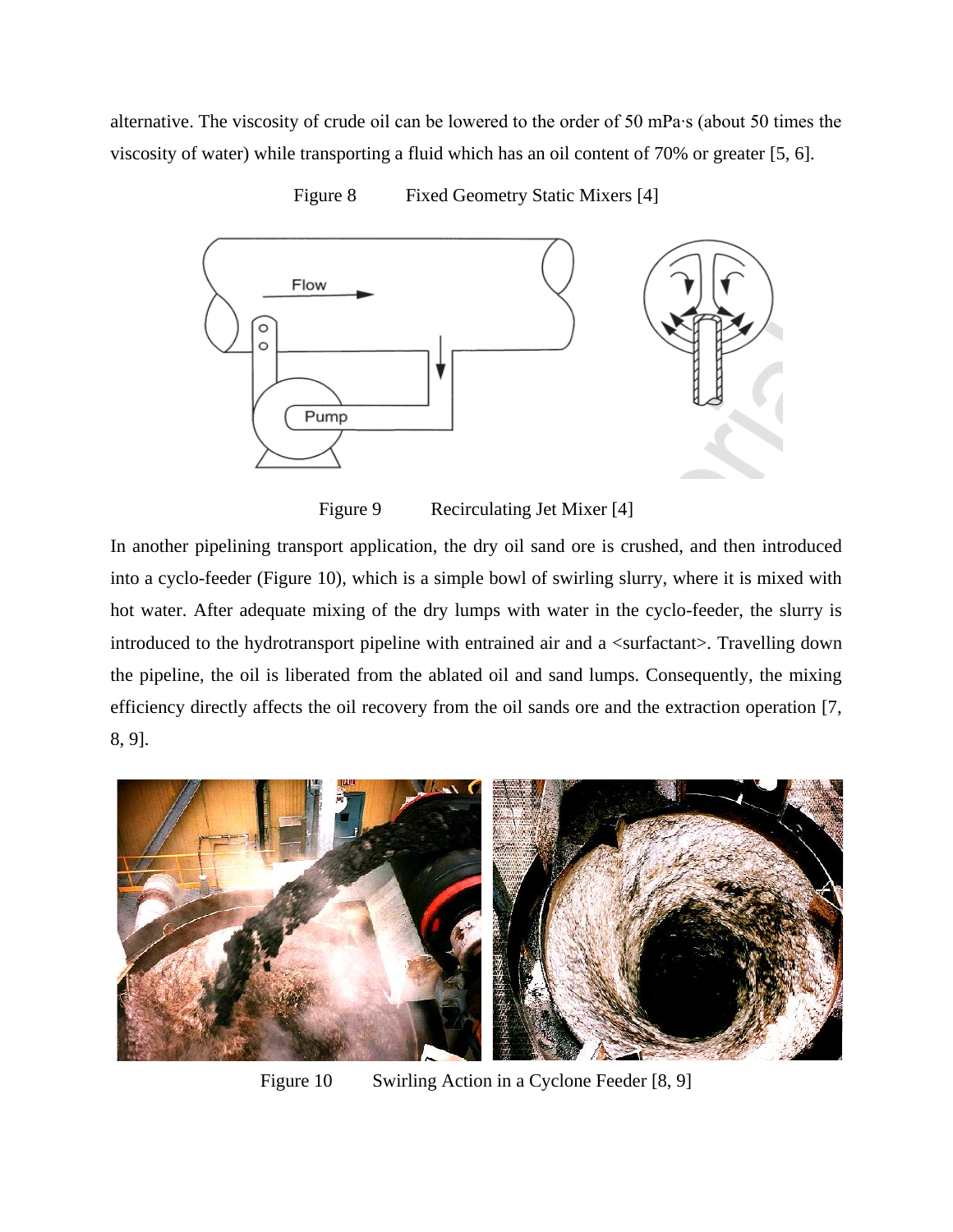alternative. The viscosity of crude oil can be lowered to the order of 50 mPa∙s (about 50 times the viscosity of water) while transporting a fluid which has an oil content of 70% or greater [5, 6].



Figure 8 Fixed Geometry Static Mixers [4]

Figure 9 Recirculating Jet Mixer [4]

In another pipelining transport application, the dry oil sand ore is crushed, and then introduced into a cyclo-feeder (Figure 10), which is a simple bowl of swirling slurry, where it is mixed with hot water. After adequate mixing of the dry lumps with water in the cyclo-feeder, the slurry is introduced to the hydrotransport pipeline with entrained air and a <surfactant>. Travelling down the pipeline, the oil is liberated from the ablated oil and sand lumps. Consequently, the mixing efficiency directly affects the oil recovery from the oil sands ore and the extraction operation [7, 8, 9].



Figure 10 Swirling Action in a Cyclone Feeder [8, 9]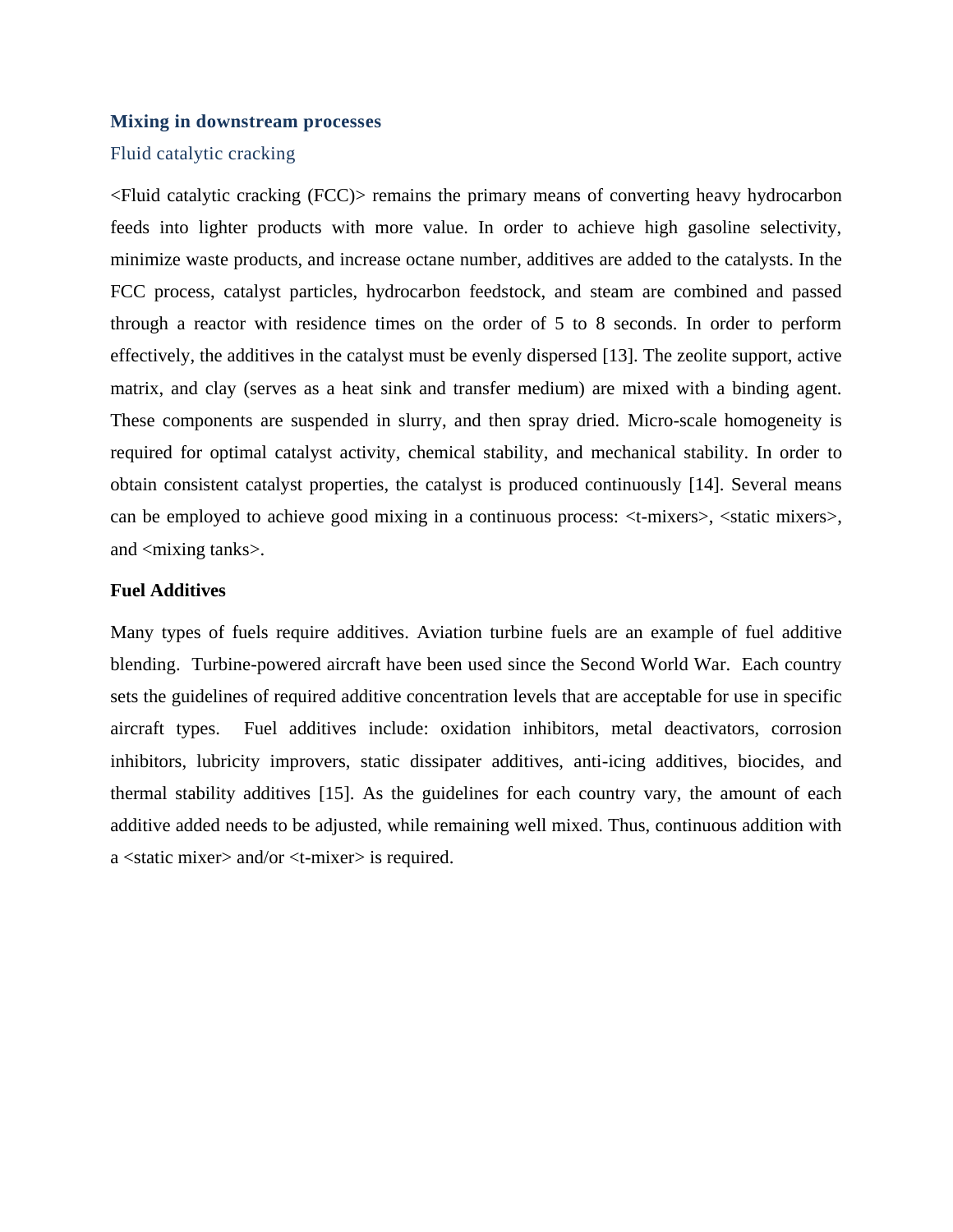#### **Mixing in downstream processes**

# Fluid catalytic cracking

<Fluid catalytic cracking (FCC)> remains the primary means of converting heavy hydrocarbon feeds into lighter products with more value. In order to achieve high gasoline selectivity, minimize waste products, and increase octane number, additives are added to the catalysts. In the FCC process, catalyst particles, hydrocarbon feedstock, and steam are combined and passed through a reactor with residence times on the order of 5 to 8 seconds. In order to perform effectively, the additives in the catalyst must be evenly dispersed [13]. The zeolite support, active matrix, and clay (serves as a heat sink and transfer medium) are mixed with a binding agent. These components are suspended in slurry, and then spray dried. Micro-scale homogeneity is required for optimal catalyst activity, chemical stability, and mechanical stability. In order to obtain consistent catalyst properties, the catalyst is produced continuously [14]. Several means can be employed to achieve good mixing in a continuous process: <t-mixers>, <static mixers>, and  $\langle$  mixing tanks $\rangle$ .

#### **Fuel Additives**

Many types of fuels require additives. Aviation turbine fuels are an example of fuel additive blending. Turbine-powered aircraft have been used since the Second World War. Each country sets the guidelines of required additive concentration levels that are acceptable for use in specific aircraft types. Fuel additives include: oxidation inhibitors, metal deactivators, corrosion inhibitors, lubricity improvers, static dissipater additives, anti-icing additives, biocides, and thermal stability additives [15]. As the guidelines for each country vary, the amount of each additive added needs to be adjusted, while remaining well mixed. Thus, continuous addition with a <static mixer> and/or <t-mixer> is required.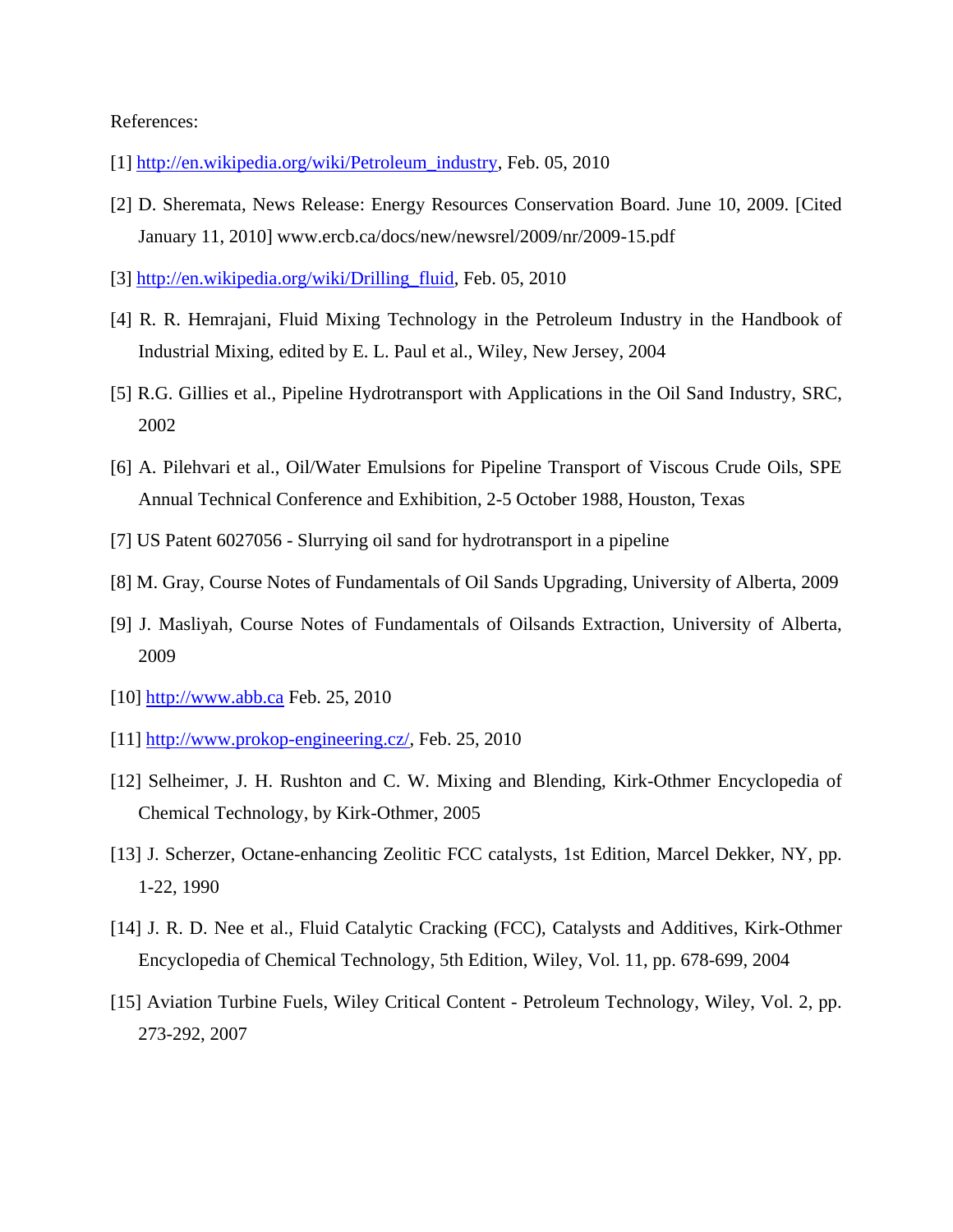## References:

- [1] [http://en.wikipedia.org/wiki/Petroleum\\_industry,](http://en.wikipedia.org/wiki/Petroleum_industry) Feb. 05, 2010
- [2] D. Sheremata, News Release: Energy Resources Conservation Board. June 10, 2009. [Cited January 11, 2010] www.ercb.ca/docs/new/newsrel/2009/nr/2009-15.pdf
- [3] [http://en.wikipedia.org/wiki/Drilling\\_fluid,](http://en.wikipedia.org/wiki/Drilling_fluid) Feb. 05, 2010
- [4] R. R. Hemrajani, Fluid Mixing Technology in the Petroleum Industry in the Handbook of Industrial Mixing, edited by E. L. Paul et al., Wiley, New Jersey, 2004
- [5] R.G. Gillies et al., Pipeline Hydrotransport with Applications in the Oil Sand Industry, SRC, 2002
- [6] A. Pilehvari et al., Oil/Water Emulsions for Pipeline Transport of Viscous Crude Oils, SPE Annual Technical Conference and Exhibition, 2-5 October 1988, Houston, Texas
- [7] US Patent 6027056 Slurrying oil sand for hydrotransport in a pipeline
- [8] M. Gray, Course Notes of Fundamentals of Oil Sands Upgrading, University of Alberta, 2009
- [9] J. Masliyah, Course Notes of Fundamentals of Oilsands Extraction, University of Alberta, 2009
- [10] http://www.abb.ca Feb. 25, 2010
- [11] http://www.prokop-engineering.cz/, Feb. 25, 2010
- [12] Selheimer, J. H. Rushton and C. W. Mixing and Blending, Kirk-Othmer Encyclopedia of Chemical Technology, by Kirk-Othmer, 2005
- [13] J. Scherzer, Octane-enhancing Zeolitic FCC catalysts, 1st Edition, Marcel Dekker, NY, pp. 1-22, 1990
- [14] J. R. D. Nee et al., Fluid Catalytic Cracking (FCC), Catalysts and Additives, Kirk-Othmer Encyclopedia of Chemical Technology, 5th Edition, Wiley, Vol. 11, pp. 678-699, 2004
- [15] Aviation Turbine Fuels, Wiley Critical Content Petroleum Technology, Wiley, Vol. 2, pp. 273-292, 2007